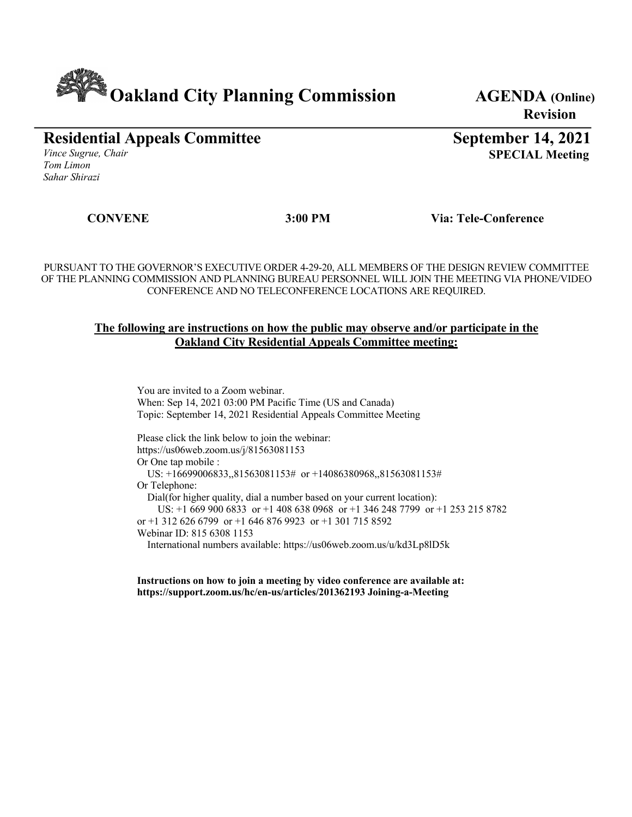# **Cakland City Planning Commission** AGENDA (Online)

**Revision**

**Residential Appeals Committee** *Vince Sugrue, Chair Tom Limon*

**September 14, 2021 SPECIAL Meeting**

*Sahar Shirazi*

 **CONVENE 3:00 PM Via: Tele-Conference**

PURSUANT TO THE GOVERNOR'S EXECUTIVE ORDER 4-29-20, ALL MEMBERS OF THE DESIGN REVIEW COMMITTEE OF THE PLANNING COMMISSION AND PLANNING BUREAU PERSONNEL WILL JOIN THE MEETING VIA PHONE/VIDEO CONFERENCE AND NO TELECONFERENCE LOCATIONS ARE REQUIRED.

#### **The following are instructions on how the public may observe and/or participate in the Oakland City Residential Appeals Committee meeting:**

You are invited to a Zoom webinar. When: Sep 14, 2021 03:00 PM Pacific Time (US and Canada) Topic: September 14, 2021 Residential Appeals Committee Meeting

Please click the link below to join the webinar: https://us06web.zoom.us/j/81563081153 Or One tap mobile : US: +16699006833,,81563081153# or +14086380968,,81563081153# Or Telephone: Dial(for higher quality, dial a number based on your current location): US: +1 669 900 6833 or +1 408 638 0968 or +1 346 248 7799 or +1 253 215 8782 or +1 312 626 6799 or +1 646 876 9923 or +1 301 715 8592 Webinar ID: 815 6308 1153 International numbers available: https://us06web.zoom.us/u/kd3Lp8lD5k

**Instructions on how to join a meeting by video conference are available at: https://support.zoom.us/hc/en-us/articles/201362193 Joining-a-Meeting**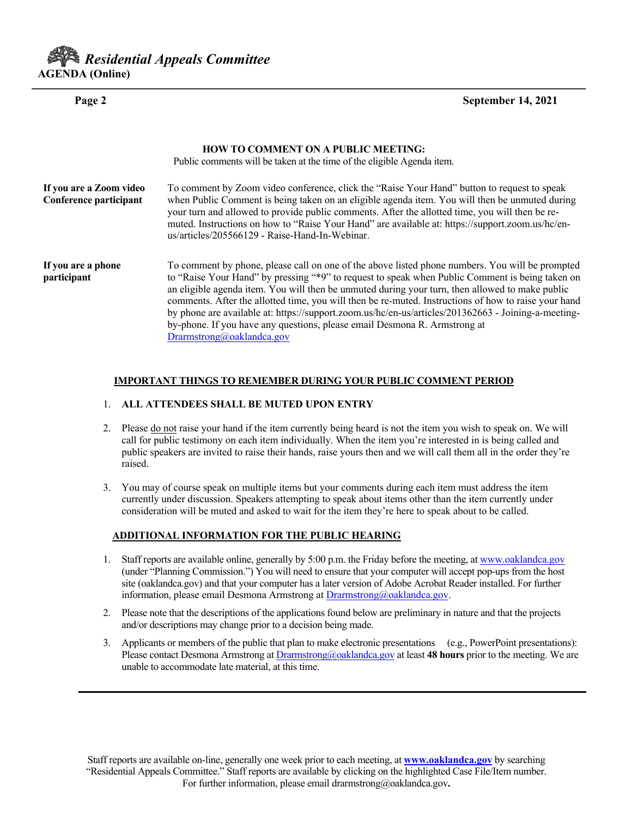# *Residential Appeals Committee* **AGENDA (Online)**

**Page 2 September 14, 2021** 

|                                                   | <b>HOW TO COMMENT ON A PUBLIC MEETING:</b><br>Public comments will be taken at the time of the eligible Agenda item.                                                                                                                                                                                                                                                                                                                                                                                                                                                                                                           |
|---------------------------------------------------|--------------------------------------------------------------------------------------------------------------------------------------------------------------------------------------------------------------------------------------------------------------------------------------------------------------------------------------------------------------------------------------------------------------------------------------------------------------------------------------------------------------------------------------------------------------------------------------------------------------------------------|
| If you are a Zoom video<br>Conference participant | To comment by Zoom video conference, click the "Raise Your Hand" button to request to speak<br>when Public Comment is being taken on an eligible agenda item. You will then be unmuted during<br>your turn and allowed to provide public comments. After the allotted time, you will then be re-<br>muted. Instructions on how to "Raise Your Hand" are available at: https://support.zoom.us/hc/en-<br>us/articles/205566129 - Raise-Hand-In-Webinar.                                                                                                                                                                         |
| If you are a phone<br>participant                 | To comment by phone, please call on one of the above listed phone numbers. You will be prompted<br>to "Raise Your Hand" by pressing "*9" to request to speak when Public Comment is being taken on<br>an eligible agenda item. You will then be unmuted during your turn, then allowed to make public<br>comments. After the allotted time, you will then be re-muted. Instructions of how to raise your hand<br>by phone are available at: https://support.zoom.us/hc/en-us/articles/201362663 - Joining-a-meeting-<br>by-phone. If you have any questions, please email Desmona R. Armstrong at<br>Drarmstrong@oaklandca.gov |

#### **IMPORTANT THINGS TO REMEMBER DURING YOUR PUBLIC COMMENT PERIOD**

#### 1. **ALL ATTENDEES SHALL BE MUTED UPON ENTRY**

- 2. Please do not raise your hand if the item currently being heard is not the item you wish to speak on. We will call for public testimony on each item individually. When the item you're interested in is being called and public speakers are invited to raise their hands, raise yours then and we will call them all in the order they're raised.
- 3. You may of course speak on multiple items but your comments during each item must address the item currently under discussion. Speakers attempting to speak about items other than the item currently under consideration will be muted and asked to wait for the item they're here to speak about to be called.

#### **ADDITIONAL INFORMATION FOR THE PUBLIC HEARING**

- 1. Staff reports are available online, generally by 5:00 p.m. the Friday before the meeting, at www.oaklandca.gov (under "Planning Commission.") You will need to ensure that your computer will accept pop-ups from the host site (oaklandca.gov) and that your computer has a later version of Adobe Acrobat Reader installed. For further information, please email Desmona Armstrong at Drarmstrong@oaklandca.gov.
- 2. Please note that the descriptions of the applications found below are preliminary in nature and that the projects and/or descriptions may change prior to a decision being made.
- 3. Applicants or members of the public that plan to make electronic presentations (e.g., PowerPoint presentations): Please contact Desmona Armstrong at Drarmstrong@oaklandca.gov at least **48 hours** prior to the meeting. We are unable to accommodate late material, at this time.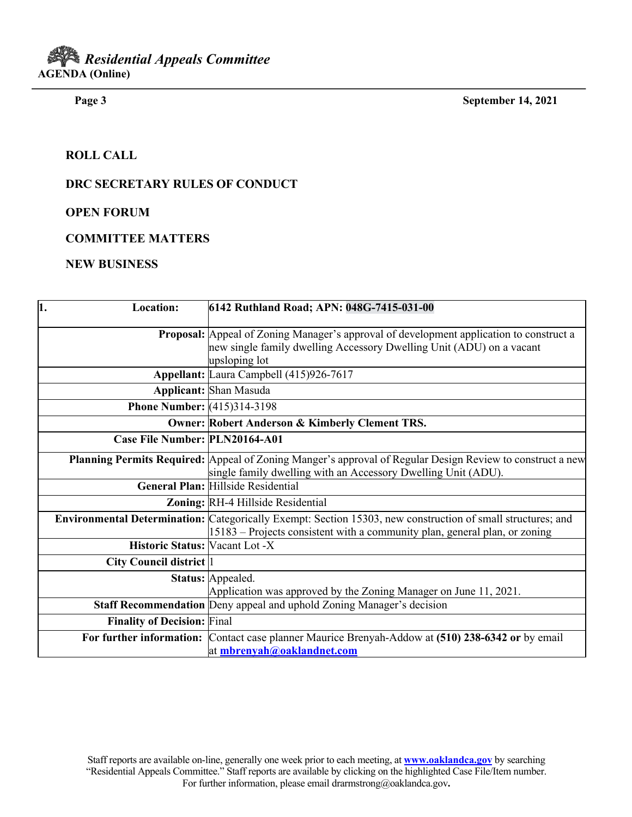**Page 3 September 14, 2021**

### **ROLL CALL**

#### **DRC SECRETARY RULES OF CONDUCT**

**OPEN FORUM**

#### **COMMITTEE MATTERS**

#### **NEW BUSINESS**

| $\overline{1}$ .<br><b>Location:</b>  | 6142 Ruthland Road; APN: 048G-7415-031-00                                                                                                                                                 |
|---------------------------------------|-------------------------------------------------------------------------------------------------------------------------------------------------------------------------------------------|
|                                       | Proposal: Appeal of Zoning Manager's approval of development application to construct a<br>new single family dwelling Accessory Dwelling Unit (ADU) on a vacant<br>upsloping lot          |
|                                       | Appellant: Laura Campbell (415)926-7617                                                                                                                                                   |
|                                       | <b>Applicant: Shan Masuda</b>                                                                                                                                                             |
| <b>Phone Number:</b> (415)314-3198    |                                                                                                                                                                                           |
|                                       | <b>Owner: Robert Anderson &amp; Kimberly Clement TRS.</b>                                                                                                                                 |
| Case File Number: PLN20164-A01        |                                                                                                                                                                                           |
|                                       | Planning Permits Required: Appeal of Zoning Manger's approval of Regular Design Review to construct a new<br>single family dwelling with an Accessory Dwelling Unit (ADU).                |
|                                       | General Plan: Hillside Residential                                                                                                                                                        |
|                                       | Zoning: RH-4 Hillside Residential                                                                                                                                                         |
|                                       | Environmental Determination: Categorically Exempt: Section 15303, new construction of small structures; and<br>15183 – Projects consistent with a community plan, general plan, or zoning |
| <b>Historic Status: Vacant Lot -X</b> |                                                                                                                                                                                           |
| <b>City Council district</b> 1        |                                                                                                                                                                                           |
|                                       | Status: Appealed.<br>Application was approved by the Zoning Manager on June 11, 2021.                                                                                                     |
|                                       | <b>Staff Recommendation</b> Deny appeal and uphold Zoning Manager's decision                                                                                                              |
| <b>Finality of Decision: Final</b>    |                                                                                                                                                                                           |
|                                       | For further information: Contact case planner Maurice Brenyah-Addow at (510) 238-6342 or by email<br>at mbrenyah@oaklandnet.com                                                           |